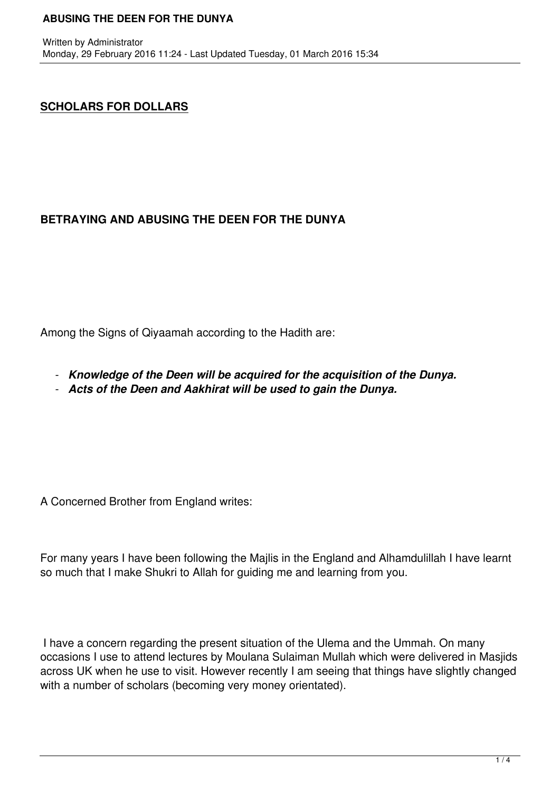# **SCHOLARS FOR DOLLARS**

# **BETRAYING AND ABUSING THE DEEN FOR THE DUNYA**

Among the Signs of Qiyaamah according to the Hadith are:

- *Knowledge of the Deen will be acquired for the acquisition of the Dunya.*
- *Acts of the Deen and Aakhirat will be used to gain the Dunya.*

A Concerned Brother from England writes:

For many years I have been following the Majlis in the England and Alhamdulillah I have learnt so much that I make Shukri to Allah for guiding me and learning from you.

 I have a concern regarding the present situation of the Ulema and the Ummah. On many occasions I use to attend lectures by Moulana Sulaiman Mullah which were delivered in Masjids across UK when he use to visit. However recently I am seeing that things have slightly changed with a number of scholars (becoming very money orientated).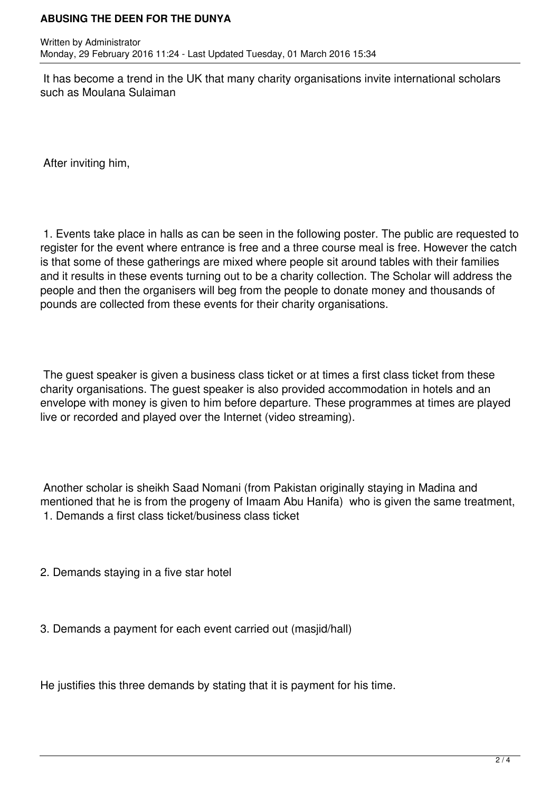### **ABUSING THE DEEN FOR THE DUNYA**

 It has become a trend in the UK that many charity organisations invite international scholars such as Moulana Sulaiman

After inviting him,

 1. Events take place in halls as can be seen in the following poster. The public are requested to register for the event where entrance is free and a three course meal is free. However the catch is that some of these gatherings are mixed where people sit around tables with their families and it results in these events turning out to be a charity collection. The Scholar will address the people and then the organisers will beg from the people to donate money and thousands of pounds are collected from these events for their charity organisations.

 The guest speaker is given a business class ticket or at times a first class ticket from these charity organisations. The guest speaker is also provided accommodation in hotels and an envelope with money is given to him before departure. These programmes at times are played live or recorded and played over the Internet (video streaming).

 Another scholar is sheikh Saad Nomani (from Pakistan originally staying in Madina and mentioned that he is from the progeny of Imaam Abu Hanifa) who is given the same treatment, 1. Demands a first class ticket/business class ticket

- 2. Demands staying in a five star hotel
- 3. Demands a payment for each event carried out (masjid/hall)

He justifies this three demands by stating that it is payment for his time.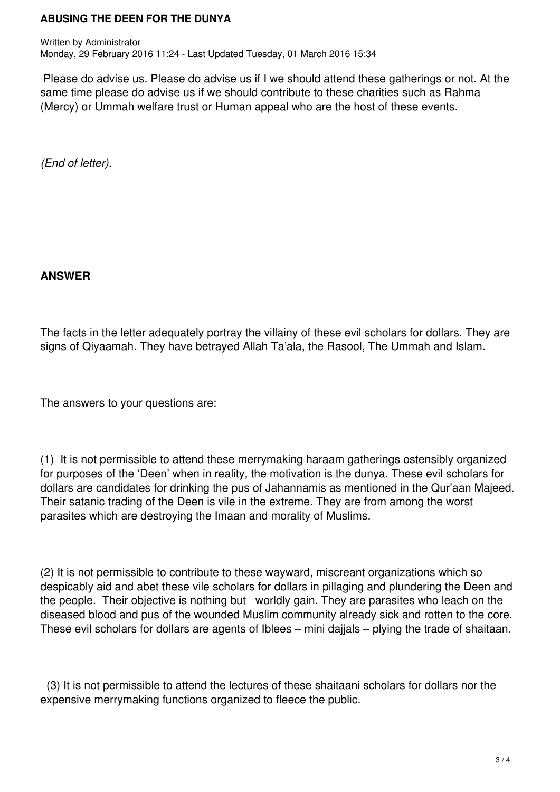## **ABUSING THE DEEN FOR THE DUNYA**

Written by Administrator Monday, 29 February 2016 11:24 - Last Updated Tuesday, 01 March 2016 15:34

 Please do advise us. Please do advise us if I we should attend these gatherings or not. At the same time please do advise us if we should contribute to these charities such as Rahma (Mercy) or Ummah welfare trust or Human appeal who are the host of these events.

*(End of letter).*

## **ANSWER**

The facts in the letter adequately portray the villainy of these evil scholars for dollars. They are signs of Qiyaamah. They have betrayed Allah Ta'ala, the Rasool, The Ummah and Islam.

The answers to your questions are:

(1) It is not permissible to attend these merrymaking haraam gatherings ostensibly organized for purposes of the 'Deen' when in reality, the motivation is the dunya. These evil scholars for dollars are candidates for drinking the pus of Jahannamis as mentioned in the Qur'aan Majeed. Their satanic trading of the Deen is vile in the extreme. They are from among the worst parasites which are destroying the Imaan and morality of Muslims.

(2) It is not permissible to contribute to these wayward, miscreant organizations which so despicably aid and abet these vile scholars for dollars in pillaging and plundering the Deen and the people. Their objective is nothing but worldly gain. They are parasites who leach on the diseased blood and pus of the wounded Muslim community already sick and rotten to the core. These evil scholars for dollars are agents of Iblees – mini dajjals – plying the trade of shaitaan.

 (3) It is not permissible to attend the lectures of these shaitaani scholars for dollars nor the expensive merrymaking functions organized to fleece the public.